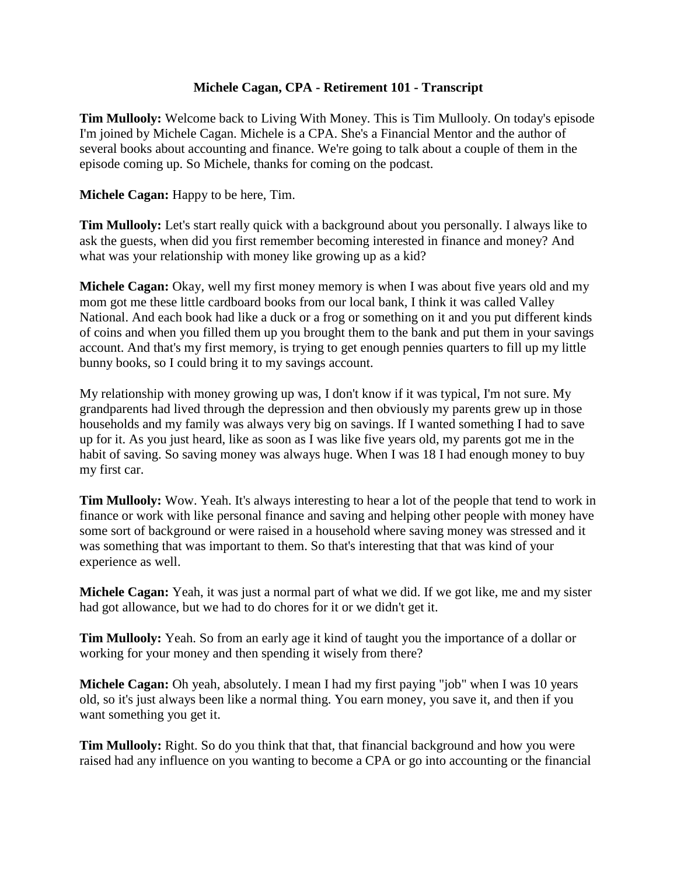## **Michele Cagan, CPA - Retirement 101 - Transcript**

**Tim Mullooly:** Welcome back to Living With Money. This is Tim Mullooly. On today's episode I'm joined by Michele Cagan. Michele is a CPA. She's a Financial Mentor and the author of several books about accounting and finance. We're going to talk about a couple of them in the episode coming up. So Michele, thanks for coming on the podcast.

## **Michele Cagan:** Happy to be here, Tim.

**Tim Mullooly:** Let's start really quick with a background about you personally. I always like to ask the guests, when did you first remember becoming interested in finance and money? And what was your relationship with money like growing up as a kid?

**Michele Cagan:** Okay, well my first money memory is when I was about five years old and my mom got me these little cardboard books from our local bank, I think it was called Valley National. And each book had like a duck or a frog or something on it and you put different kinds of coins and when you filled them up you brought them to the bank and put them in your savings account. And that's my first memory, is trying to get enough pennies quarters to fill up my little bunny books, so I could bring it to my savings account.

My relationship with money growing up was, I don't know if it was typical, I'm not sure. My grandparents had lived through the depression and then obviously my parents grew up in those households and my family was always very big on savings. If I wanted something I had to save up for it. As you just heard, like as soon as I was like five years old, my parents got me in the habit of saving. So saving money was always huge. When I was 18 I had enough money to buy my first car.

**Tim Mullooly:** Wow. Yeah. It's always interesting to hear a lot of the people that tend to work in finance or work with like personal finance and saving and helping other people with money have some sort of background or were raised in a household where saving money was stressed and it was something that was important to them. So that's interesting that that was kind of your experience as well.

**Michele Cagan:** Yeah, it was just a normal part of what we did. If we got like, me and my sister had got allowance, but we had to do chores for it or we didn't get it.

**Tim Mullooly:** Yeah. So from an early age it kind of taught you the importance of a dollar or working for your money and then spending it wisely from there?

**Michele Cagan:** Oh yeah, absolutely. I mean I had my first paying "job" when I was 10 years old, so it's just always been like a normal thing. You earn money, you save it, and then if you want something you get it.

**Tim Mullooly:** Right. So do you think that that, that financial background and how you were raised had any influence on you wanting to become a CPA or go into accounting or the financial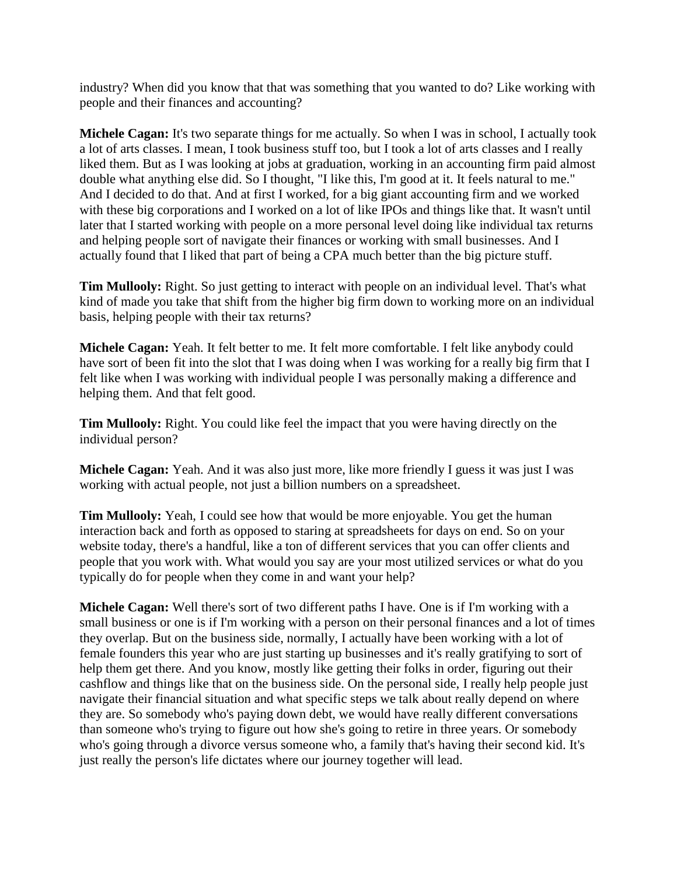industry? When did you know that that was something that you wanted to do? Like working with people and their finances and accounting?

**Michele Cagan:** It's two separate things for me actually. So when I was in school, I actually took a lot of arts classes. I mean, I took business stuff too, but I took a lot of arts classes and I really liked them. But as I was looking at jobs at graduation, working in an accounting firm paid almost double what anything else did. So I thought, "I like this, I'm good at it. It feels natural to me." And I decided to do that. And at first I worked, for a big giant accounting firm and we worked with these big corporations and I worked on a lot of like IPOs and things like that. It wasn't until later that I started working with people on a more personal level doing like individual tax returns and helping people sort of navigate their finances or working with small businesses. And I actually found that I liked that part of being a CPA much better than the big picture stuff.

**Tim Mullooly:** Right. So just getting to interact with people on an individual level. That's what kind of made you take that shift from the higher big firm down to working more on an individual basis, helping people with their tax returns?

**Michele Cagan:** Yeah. It felt better to me. It felt more comfortable. I felt like anybody could have sort of been fit into the slot that I was doing when I was working for a really big firm that I felt like when I was working with individual people I was personally making a difference and helping them. And that felt good.

**Tim Mullooly:** Right. You could like feel the impact that you were having directly on the individual person?

**Michele Cagan:** Yeah. And it was also just more, like more friendly I guess it was just I was working with actual people, not just a billion numbers on a spreadsheet.

**Tim Mullooly:** Yeah, I could see how that would be more enjoyable. You get the human interaction back and forth as opposed to staring at spreadsheets for days on end. So on your website today, there's a handful, like a ton of different services that you can offer clients and people that you work with. What would you say are your most utilized services or what do you typically do for people when they come in and want your help?

**Michele Cagan:** Well there's sort of two different paths I have. One is if I'm working with a small business or one is if I'm working with a person on their personal finances and a lot of times they overlap. But on the business side, normally, I actually have been working with a lot of female founders this year who are just starting up businesses and it's really gratifying to sort of help them get there. And you know, mostly like getting their folks in order, figuring out their cashflow and things like that on the business side. On the personal side, I really help people just navigate their financial situation and what specific steps we talk about really depend on where they are. So somebody who's paying down debt, we would have really different conversations than someone who's trying to figure out how she's going to retire in three years. Or somebody who's going through a divorce versus someone who, a family that's having their second kid. It's just really the person's life dictates where our journey together will lead.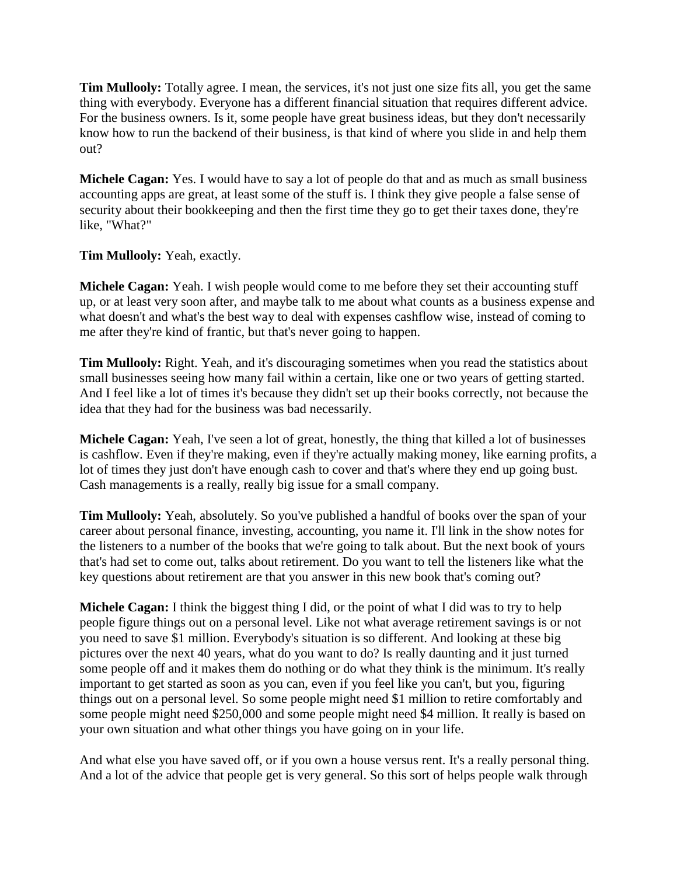**Tim Mullooly:** Totally agree. I mean, the services, it's not just one size fits all, you get the same thing with everybody. Everyone has a different financial situation that requires different advice. For the business owners. Is it, some people have great business ideas, but they don't necessarily know how to run the backend of their business, is that kind of where you slide in and help them out?

**Michele Cagan:** Yes. I would have to say a lot of people do that and as much as small business accounting apps are great, at least some of the stuff is. I think they give people a false sense of security about their bookkeeping and then the first time they go to get their taxes done, they're like, "What?"

**Tim Mullooly:** Yeah, exactly.

**Michele Cagan:** Yeah. I wish people would come to me before they set their accounting stuff up, or at least very soon after, and maybe talk to me about what counts as a business expense and what doesn't and what's the best way to deal with expenses cashflow wise, instead of coming to me after they're kind of frantic, but that's never going to happen.

**Tim Mullooly:** Right. Yeah, and it's discouraging sometimes when you read the statistics about small businesses seeing how many fail within a certain, like one or two years of getting started. And I feel like a lot of times it's because they didn't set up their books correctly, not because the idea that they had for the business was bad necessarily.

**Michele Cagan:** Yeah, I've seen a lot of great, honestly, the thing that killed a lot of businesses is cashflow. Even if they're making, even if they're actually making money, like earning profits, a lot of times they just don't have enough cash to cover and that's where they end up going bust. Cash managements is a really, really big issue for a small company.

**Tim Mullooly:** Yeah, absolutely. So you've published a handful of books over the span of your career about personal finance, investing, accounting, you name it. I'll link in the show notes for the listeners to a number of the books that we're going to talk about. But the next book of yours that's had set to come out, talks about retirement. Do you want to tell the listeners like what the key questions about retirement are that you answer in this new book that's coming out?

**Michele Cagan:** I think the biggest thing I did, or the point of what I did was to try to help people figure things out on a personal level. Like not what average retirement savings is or not you need to save \$1 million. Everybody's situation is so different. And looking at these big pictures over the next 40 years, what do you want to do? Is really daunting and it just turned some people off and it makes them do nothing or do what they think is the minimum. It's really important to get started as soon as you can, even if you feel like you can't, but you, figuring things out on a personal level. So some people might need \$1 million to retire comfortably and some people might need \$250,000 and some people might need \$4 million. It really is based on your own situation and what other things you have going on in your life.

And what else you have saved off, or if you own a house versus rent. It's a really personal thing. And a lot of the advice that people get is very general. So this sort of helps people walk through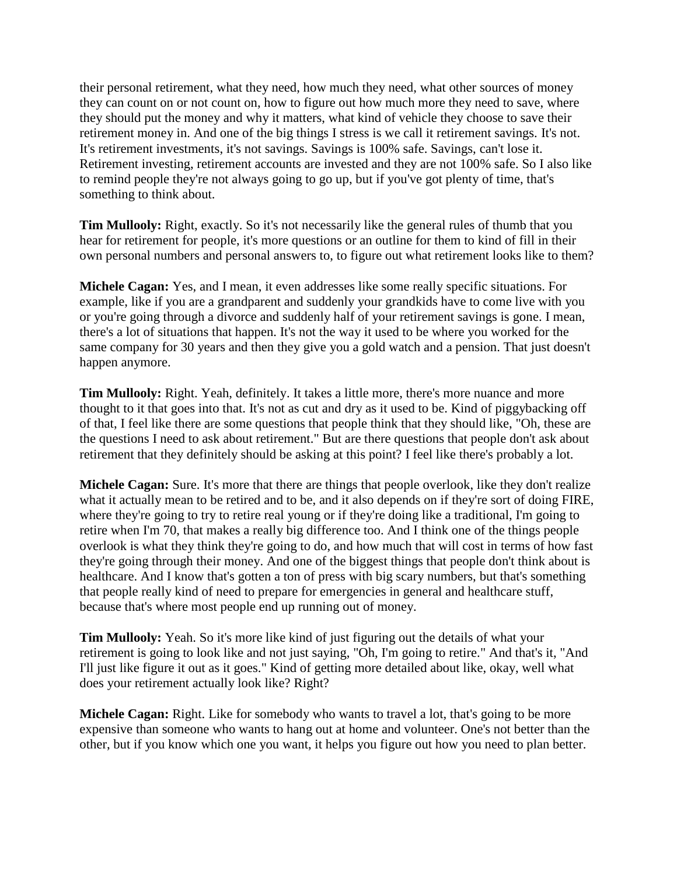their personal retirement, what they need, how much they need, what other sources of money they can count on or not count on, how to figure out how much more they need to save, where they should put the money and why it matters, what kind of vehicle they choose to save their retirement money in. And one of the big things I stress is we call it retirement savings. It's not. It's retirement investments, it's not savings. Savings is 100% safe. Savings, can't lose it. Retirement investing, retirement accounts are invested and they are not 100% safe. So I also like to remind people they're not always going to go up, but if you've got plenty of time, that's something to think about.

**Tim Mullooly:** Right, exactly. So it's not necessarily like the general rules of thumb that you hear for retirement for people, it's more questions or an outline for them to kind of fill in their own personal numbers and personal answers to, to figure out what retirement looks like to them?

**Michele Cagan:** Yes, and I mean, it even addresses like some really specific situations. For example, like if you are a grandparent and suddenly your grandkids have to come live with you or you're going through a divorce and suddenly half of your retirement savings is gone. I mean, there's a lot of situations that happen. It's not the way it used to be where you worked for the same company for 30 years and then they give you a gold watch and a pension. That just doesn't happen anymore.

**Tim Mullooly:** Right. Yeah, definitely. It takes a little more, there's more nuance and more thought to it that goes into that. It's not as cut and dry as it used to be. Kind of piggybacking off of that, I feel like there are some questions that people think that they should like, "Oh, these are the questions I need to ask about retirement." But are there questions that people don't ask about retirement that they definitely should be asking at this point? I feel like there's probably a lot.

**Michele Cagan:** Sure. It's more that there are things that people overlook, like they don't realize what it actually mean to be retired and to be, and it also depends on if they're sort of doing FIRE, where they're going to try to retire real young or if they're doing like a traditional, I'm going to retire when I'm 70, that makes a really big difference too. And I think one of the things people overlook is what they think they're going to do, and how much that will cost in terms of how fast they're going through their money. And one of the biggest things that people don't think about is healthcare. And I know that's gotten a ton of press with big scary numbers, but that's something that people really kind of need to prepare for emergencies in general and healthcare stuff, because that's where most people end up running out of money.

**Tim Mullooly:** Yeah. So it's more like kind of just figuring out the details of what your retirement is going to look like and not just saying, "Oh, I'm going to retire." And that's it, "And I'll just like figure it out as it goes." Kind of getting more detailed about like, okay, well what does your retirement actually look like? Right?

**Michele Cagan:** Right. Like for somebody who wants to travel a lot, that's going to be more expensive than someone who wants to hang out at home and volunteer. One's not better than the other, but if you know which one you want, it helps you figure out how you need to plan better.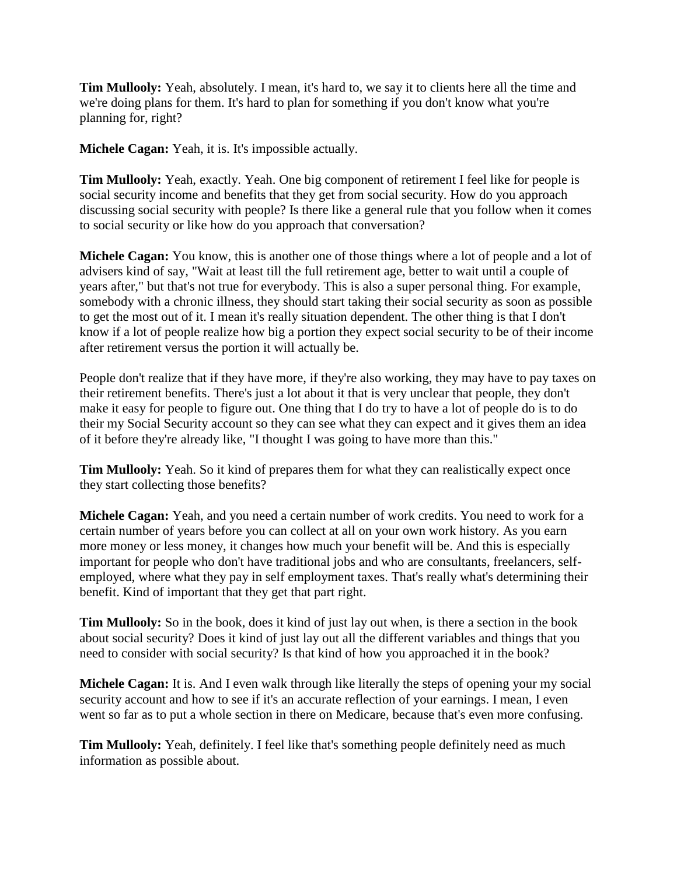**Tim Mullooly:** Yeah, absolutely. I mean, it's hard to, we say it to clients here all the time and we're doing plans for them. It's hard to plan for something if you don't know what you're planning for, right?

**Michele Cagan:** Yeah, it is. It's impossible actually.

**Tim Mullooly:** Yeah, exactly. Yeah. One big component of retirement I feel like for people is social security income and benefits that they get from social security. How do you approach discussing social security with people? Is there like a general rule that you follow when it comes to social security or like how do you approach that conversation?

**Michele Cagan:** You know, this is another one of those things where a lot of people and a lot of advisers kind of say, "Wait at least till the full retirement age, better to wait until a couple of years after," but that's not true for everybody. This is also a super personal thing. For example, somebody with a chronic illness, they should start taking their social security as soon as possible to get the most out of it. I mean it's really situation dependent. The other thing is that I don't know if a lot of people realize how big a portion they expect social security to be of their income after retirement versus the portion it will actually be.

People don't realize that if they have more, if they're also working, they may have to pay taxes on their retirement benefits. There's just a lot about it that is very unclear that people, they don't make it easy for people to figure out. One thing that I do try to have a lot of people do is to do their my Social Security account so they can see what they can expect and it gives them an idea of it before they're already like, "I thought I was going to have more than this."

**Tim Mullooly:** Yeah. So it kind of prepares them for what they can realistically expect once they start collecting those benefits?

**Michele Cagan:** Yeah, and you need a certain number of work credits. You need to work for a certain number of years before you can collect at all on your own work history. As you earn more money or less money, it changes how much your benefit will be. And this is especially important for people who don't have traditional jobs and who are consultants, freelancers, selfemployed, where what they pay in self employment taxes. That's really what's determining their benefit. Kind of important that they get that part right.

**Tim Mullooly:** So in the book, does it kind of just lay out when, is there a section in the book about social security? Does it kind of just lay out all the different variables and things that you need to consider with social security? Is that kind of how you approached it in the book?

**Michele Cagan:** It is. And I even walk through like literally the steps of opening your my social security account and how to see if it's an accurate reflection of your earnings. I mean, I even went so far as to put a whole section in there on Medicare, because that's even more confusing.

**Tim Mullooly:** Yeah, definitely. I feel like that's something people definitely need as much information as possible about.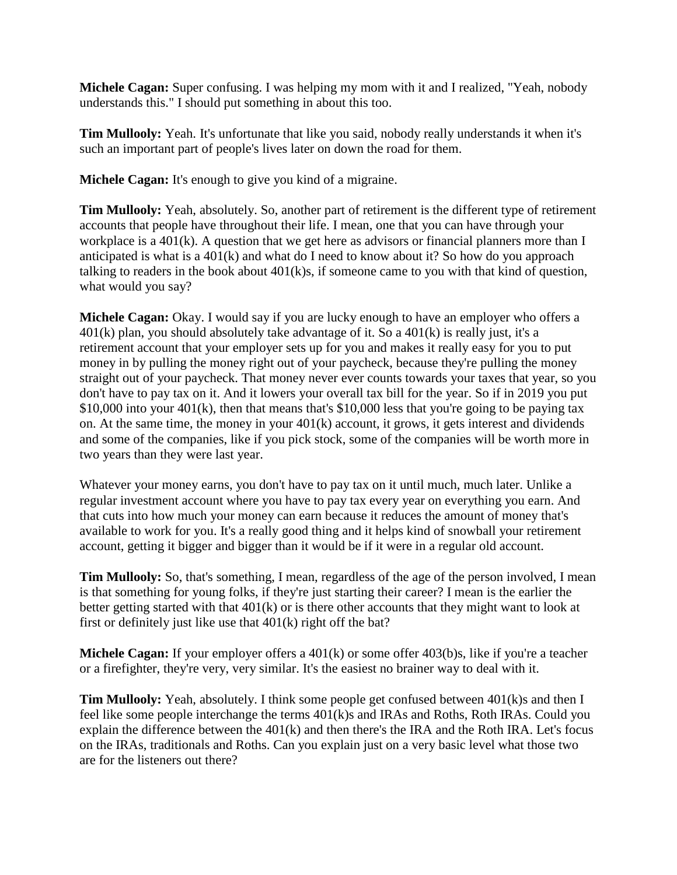**Michele Cagan:** Super confusing. I was helping my mom with it and I realized, "Yeah, nobody understands this." I should put something in about this too.

**Tim Mullooly:** Yeah. It's unfortunate that like you said, nobody really understands it when it's such an important part of people's lives later on down the road for them.

**Michele Cagan:** It's enough to give you kind of a migraine.

**Tim Mullooly:** Yeah, absolutely. So, another part of retirement is the different type of retirement accounts that people have throughout their life. I mean, one that you can have through your workplace is a 401(k). A question that we get here as advisors or financial planners more than I anticipated is what is a 401(k) and what do I need to know about it? So how do you approach talking to readers in the book about 401(k)s, if someone came to you with that kind of question, what would you say?

**Michele Cagan:** Okay. I would say if you are lucky enough to have an employer who offers a  $401(k)$  plan, you should absolutely take advantage of it. So a  $401(k)$  is really just, it's a retirement account that your employer sets up for you and makes it really easy for you to put money in by pulling the money right out of your paycheck, because they're pulling the money straight out of your paycheck. That money never ever counts towards your taxes that year, so you don't have to pay tax on it. And it lowers your overall tax bill for the year. So if in 2019 you put \$10,000 into your 401(k), then that means that's \$10,000 less that you're going to be paying tax on. At the same time, the money in your 401(k) account, it grows, it gets interest and dividends and some of the companies, like if you pick stock, some of the companies will be worth more in two years than they were last year.

Whatever your money earns, you don't have to pay tax on it until much, much later. Unlike a regular investment account where you have to pay tax every year on everything you earn. And that cuts into how much your money can earn because it reduces the amount of money that's available to work for you. It's a really good thing and it helps kind of snowball your retirement account, getting it bigger and bigger than it would be if it were in a regular old account.

**Tim Mullooly:** So, that's something, I mean, regardless of the age of the person involved, I mean is that something for young folks, if they're just starting their career? I mean is the earlier the better getting started with that 401(k) or is there other accounts that they might want to look at first or definitely just like use that 401(k) right off the bat?

**Michele Cagan:** If your employer offers a 401(k) or some offer 403(b)s, like if you're a teacher or a firefighter, they're very, very similar. It's the easiest no brainer way to deal with it.

**Tim Mullooly:** Yeah, absolutely. I think some people get confused between 401(k)s and then I feel like some people interchange the terms 401(k)s and IRAs and Roths, Roth IRAs. Could you explain the difference between the 401(k) and then there's the IRA and the Roth IRA. Let's focus on the IRAs, traditionals and Roths. Can you explain just on a very basic level what those two are for the listeners out there?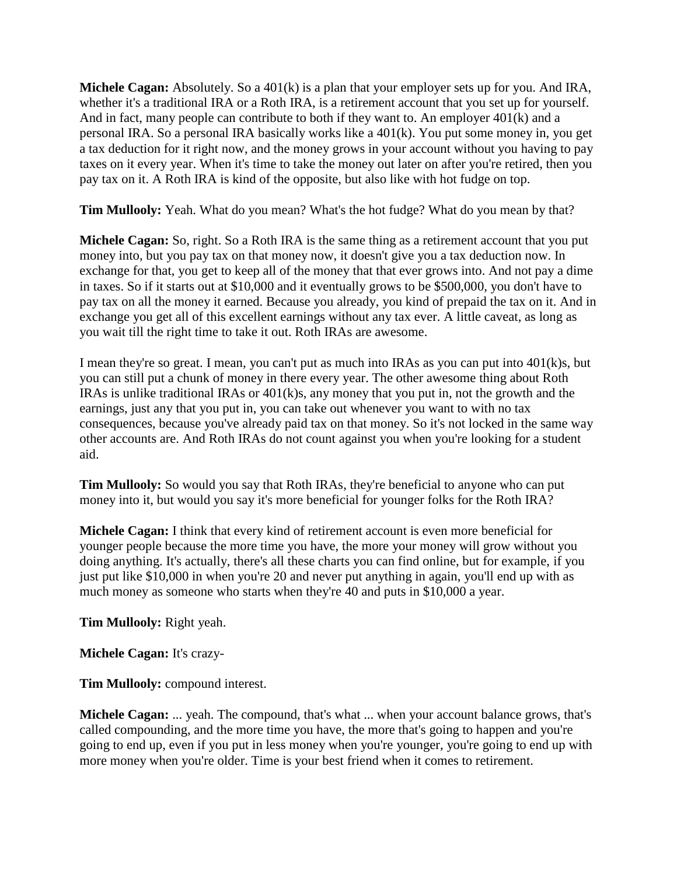**Michele Cagan:** Absolutely. So a 401(k) is a plan that your employer sets up for you. And IRA, whether it's a traditional IRA or a Roth IRA, is a retirement account that you set up for yourself. And in fact, many people can contribute to both if they want to. An employer 401(k) and a personal IRA. So a personal IRA basically works like a 401(k). You put some money in, you get a tax deduction for it right now, and the money grows in your account without you having to pay taxes on it every year. When it's time to take the money out later on after you're retired, then you pay tax on it. A Roth IRA is kind of the opposite, but also like with hot fudge on top.

**Tim Mullooly:** Yeah. What do you mean? What's the hot fudge? What do you mean by that?

**Michele Cagan:** So, right. So a Roth IRA is the same thing as a retirement account that you put money into, but you pay tax on that money now, it doesn't give you a tax deduction now. In exchange for that, you get to keep all of the money that that ever grows into. And not pay a dime in taxes. So if it starts out at \$10,000 and it eventually grows to be \$500,000, you don't have to pay tax on all the money it earned. Because you already, you kind of prepaid the tax on it. And in exchange you get all of this excellent earnings without any tax ever. A little caveat, as long as you wait till the right time to take it out. Roth IRAs are awesome.

I mean they're so great. I mean, you can't put as much into IRAs as you can put into 401(k)s, but you can still put a chunk of money in there every year. The other awesome thing about Roth IRAs is unlike traditional IRAs or 401(k)s, any money that you put in, not the growth and the earnings, just any that you put in, you can take out whenever you want to with no tax consequences, because you've already paid tax on that money. So it's not locked in the same way other accounts are. And Roth IRAs do not count against you when you're looking for a student aid.

**Tim Mullooly:** So would you say that Roth IRAs, they're beneficial to anyone who can put money into it, but would you say it's more beneficial for younger folks for the Roth IRA?

**Michele Cagan:** I think that every kind of retirement account is even more beneficial for younger people because the more time you have, the more your money will grow without you doing anything. It's actually, there's all these charts you can find online, but for example, if you just put like \$10,000 in when you're 20 and never put anything in again, you'll end up with as much money as someone who starts when they're 40 and puts in \$10,000 a year.

**Tim Mullooly:** Right yeah.

**Michele Cagan:** It's crazy-

**Tim Mullooly:** compound interest.

**Michele Cagan:** ... yeah. The compound, that's what ... when your account balance grows, that's called compounding, and the more time you have, the more that's going to happen and you're going to end up, even if you put in less money when you're younger, you're going to end up with more money when you're older. Time is your best friend when it comes to retirement.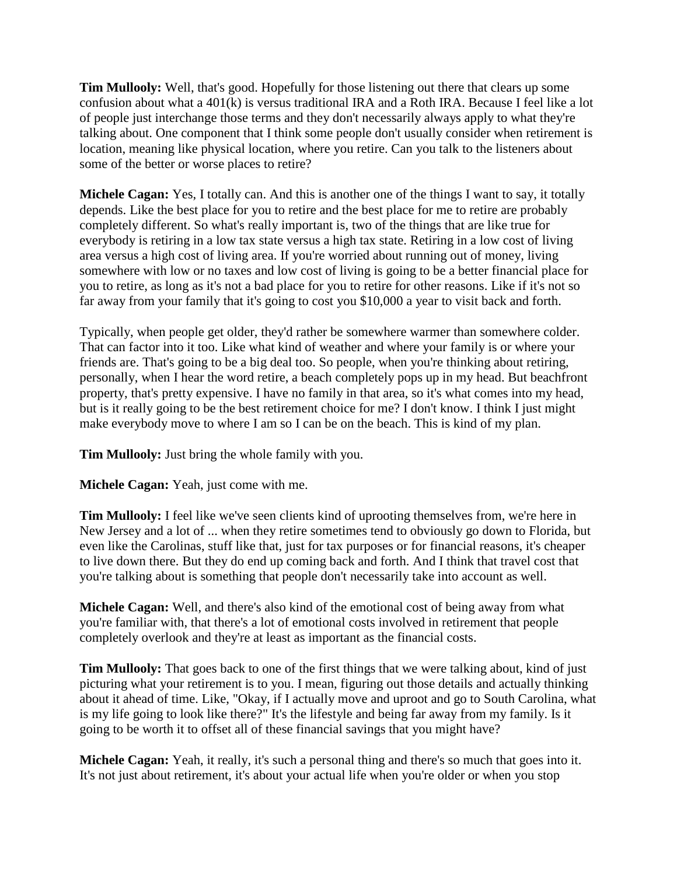**Tim Mullooly:** Well, that's good. Hopefully for those listening out there that clears up some confusion about what a 401(k) is versus traditional IRA and a Roth IRA. Because I feel like a lot of people just interchange those terms and they don't necessarily always apply to what they're talking about. One component that I think some people don't usually consider when retirement is location, meaning like physical location, where you retire. Can you talk to the listeners about some of the better or worse places to retire?

**Michele Cagan:** Yes, I totally can. And this is another one of the things I want to say, it totally depends. Like the best place for you to retire and the best place for me to retire are probably completely different. So what's really important is, two of the things that are like true for everybody is retiring in a low tax state versus a high tax state. Retiring in a low cost of living area versus a high cost of living area. If you're worried about running out of money, living somewhere with low or no taxes and low cost of living is going to be a better financial place for you to retire, as long as it's not a bad place for you to retire for other reasons. Like if it's not so far away from your family that it's going to cost you \$10,000 a year to visit back and forth.

Typically, when people get older, they'd rather be somewhere warmer than somewhere colder. That can factor into it too. Like what kind of weather and where your family is or where your friends are. That's going to be a big deal too. So people, when you're thinking about retiring, personally, when I hear the word retire, a beach completely pops up in my head. But beachfront property, that's pretty expensive. I have no family in that area, so it's what comes into my head, but is it really going to be the best retirement choice for me? I don't know. I think I just might make everybody move to where I am so I can be on the beach. This is kind of my plan.

**Tim Mullooly:** Just bring the whole family with you.

**Michele Cagan:** Yeah, just come with me.

**Tim Mullooly:** I feel like we've seen clients kind of uprooting themselves from, we're here in New Jersey and a lot of ... when they retire sometimes tend to obviously go down to Florida, but even like the Carolinas, stuff like that, just for tax purposes or for financial reasons, it's cheaper to live down there. But they do end up coming back and forth. And I think that travel cost that you're talking about is something that people don't necessarily take into account as well.

**Michele Cagan:** Well, and there's also kind of the emotional cost of being away from what you're familiar with, that there's a lot of emotional costs involved in retirement that people completely overlook and they're at least as important as the financial costs.

**Tim Mullooly:** That goes back to one of the first things that we were talking about, kind of just picturing what your retirement is to you. I mean, figuring out those details and actually thinking about it ahead of time. Like, "Okay, if I actually move and uproot and go to South Carolina, what is my life going to look like there?" It's the lifestyle and being far away from my family. Is it going to be worth it to offset all of these financial savings that you might have?

**Michele Cagan:** Yeah, it really, it's such a personal thing and there's so much that goes into it. It's not just about retirement, it's about your actual life when you're older or when you stop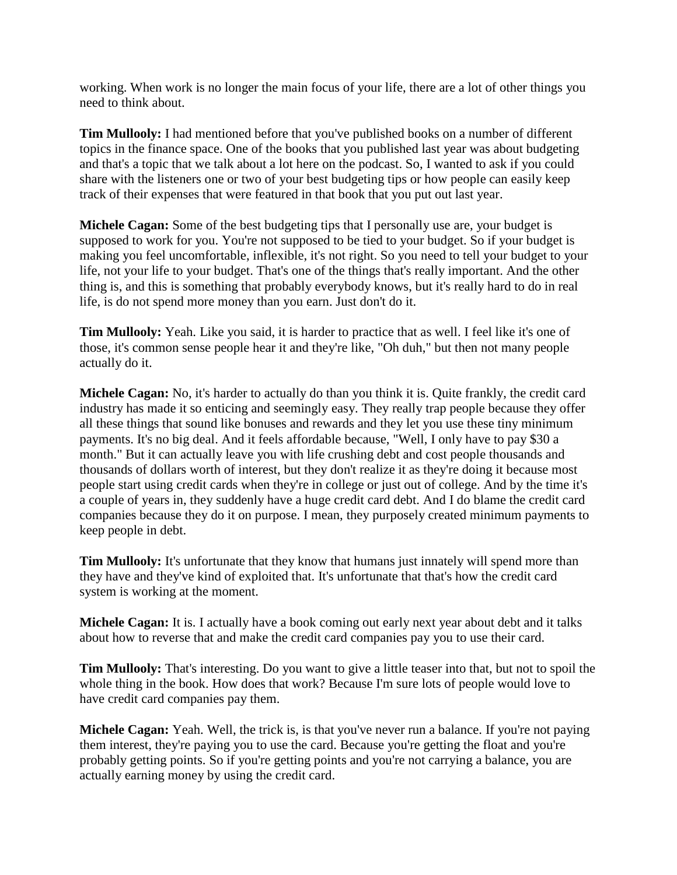working. When work is no longer the main focus of your life, there are a lot of other things you need to think about.

**Tim Mullooly:** I had mentioned before that you've published books on a number of different topics in the finance space. One of the books that you published last year was about budgeting and that's a topic that we talk about a lot here on the podcast. So, I wanted to ask if you could share with the listeners one or two of your best budgeting tips or how people can easily keep track of their expenses that were featured in that book that you put out last year.

**Michele Cagan:** Some of the best budgeting tips that I personally use are, your budget is supposed to work for you. You're not supposed to be tied to your budget. So if your budget is making you feel uncomfortable, inflexible, it's not right. So you need to tell your budget to your life, not your life to your budget. That's one of the things that's really important. And the other thing is, and this is something that probably everybody knows, but it's really hard to do in real life, is do not spend more money than you earn. Just don't do it.

**Tim Mullooly:** Yeah. Like you said, it is harder to practice that as well. I feel like it's one of those, it's common sense people hear it and they're like, "Oh duh," but then not many people actually do it.

**Michele Cagan:** No, it's harder to actually do than you think it is. Quite frankly, the credit card industry has made it so enticing and seemingly easy. They really trap people because they offer all these things that sound like bonuses and rewards and they let you use these tiny minimum payments. It's no big deal. And it feels affordable because, "Well, I only have to pay \$30 a month." But it can actually leave you with life crushing debt and cost people thousands and thousands of dollars worth of interest, but they don't realize it as they're doing it because most people start using credit cards when they're in college or just out of college. And by the time it's a couple of years in, they suddenly have a huge credit card debt. And I do blame the credit card companies because they do it on purpose. I mean, they purposely created minimum payments to keep people in debt.

**Tim Mullooly:** It's unfortunate that they know that humans just innately will spend more than they have and they've kind of exploited that. It's unfortunate that that's how the credit card system is working at the moment.

**Michele Cagan:** It is. I actually have a book coming out early next year about debt and it talks about how to reverse that and make the credit card companies pay you to use their card.

**Tim Mullooly:** That's interesting. Do you want to give a little teaser into that, but not to spoil the whole thing in the book. How does that work? Because I'm sure lots of people would love to have credit card companies pay them.

**Michele Cagan:** Yeah. Well, the trick is, is that you've never run a balance. If you're not paying them interest, they're paying you to use the card. Because you're getting the float and you're probably getting points. So if you're getting points and you're not carrying a balance, you are actually earning money by using the credit card.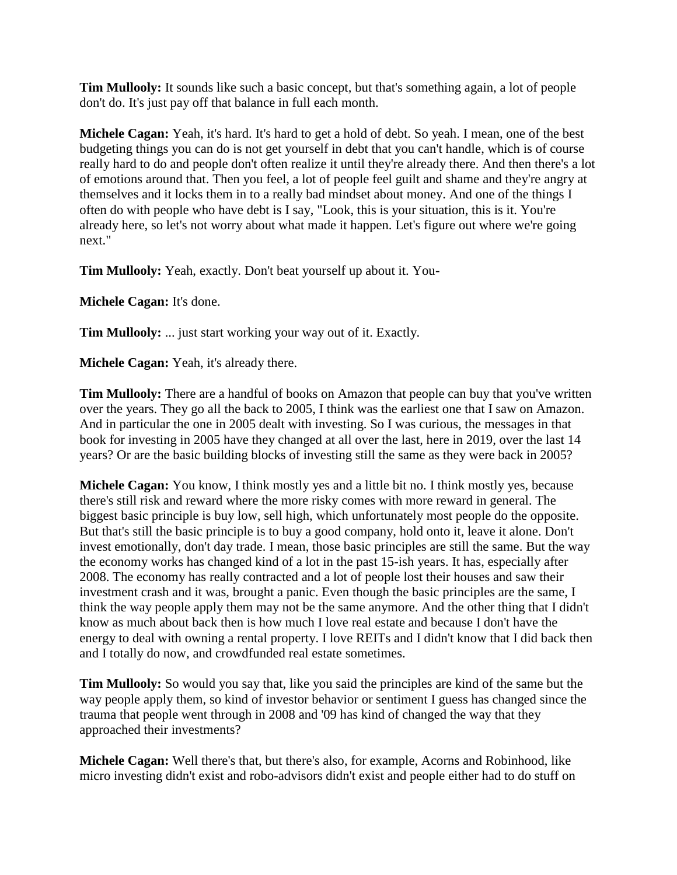**Tim Mullooly:** It sounds like such a basic concept, but that's something again, a lot of people don't do. It's just pay off that balance in full each month.

**Michele Cagan:** Yeah, it's hard. It's hard to get a hold of debt. So yeah. I mean, one of the best budgeting things you can do is not get yourself in debt that you can't handle, which is of course really hard to do and people don't often realize it until they're already there. And then there's a lot of emotions around that. Then you feel, a lot of people feel guilt and shame and they're angry at themselves and it locks them in to a really bad mindset about money. And one of the things I often do with people who have debt is I say, "Look, this is your situation, this is it. You're already here, so let's not worry about what made it happen. Let's figure out where we're going next."

**Tim Mullooly:** Yeah, exactly. Don't beat yourself up about it. You-

**Michele Cagan:** It's done.

**Tim Mullooly:** ... just start working your way out of it. Exactly.

**Michele Cagan:** Yeah, it's already there.

**Tim Mullooly:** There are a handful of books on Amazon that people can buy that you've written over the years. They go all the back to 2005, I think was the earliest one that I saw on Amazon. And in particular the one in 2005 dealt with investing. So I was curious, the messages in that book for investing in 2005 have they changed at all over the last, here in 2019, over the last 14 years? Or are the basic building blocks of investing still the same as they were back in 2005?

**Michele Cagan:** You know, I think mostly yes and a little bit no. I think mostly yes, because there's still risk and reward where the more risky comes with more reward in general. The biggest basic principle is buy low, sell high, which unfortunately most people do the opposite. But that's still the basic principle is to buy a good company, hold onto it, leave it alone. Don't invest emotionally, don't day trade. I mean, those basic principles are still the same. But the way the economy works has changed kind of a lot in the past 15-ish years. It has, especially after 2008. The economy has really contracted and a lot of people lost their houses and saw their investment crash and it was, brought a panic. Even though the basic principles are the same, I think the way people apply them may not be the same anymore. And the other thing that I didn't know as much about back then is how much I love real estate and because I don't have the energy to deal with owning a rental property. I love REITs and I didn't know that I did back then and I totally do now, and crowdfunded real estate sometimes.

**Tim Mullooly:** So would you say that, like you said the principles are kind of the same but the way people apply them, so kind of investor behavior or sentiment I guess has changed since the trauma that people went through in 2008 and '09 has kind of changed the way that they approached their investments?

**Michele Cagan:** Well there's that, but there's also, for example, Acorns and Robinhood, like micro investing didn't exist and robo-advisors didn't exist and people either had to do stuff on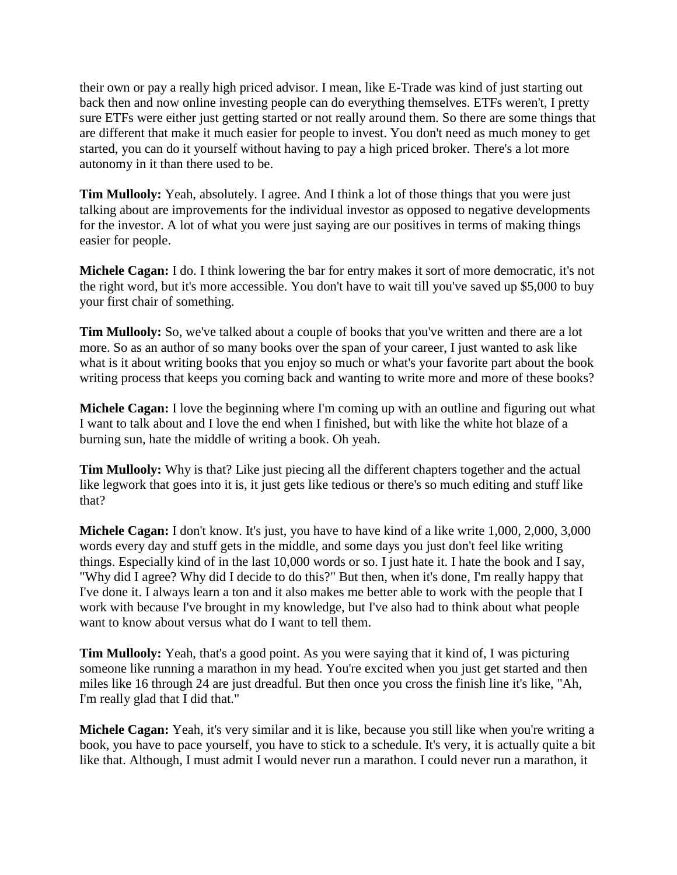their own or pay a really high priced advisor. I mean, like E-Trade was kind of just starting out back then and now online investing people can do everything themselves. ETFs weren't, I pretty sure ETFs were either just getting started or not really around them. So there are some things that are different that make it much easier for people to invest. You don't need as much money to get started, you can do it yourself without having to pay a high priced broker. There's a lot more autonomy in it than there used to be.

**Tim Mullooly:** Yeah, absolutely. I agree. And I think a lot of those things that you were just talking about are improvements for the individual investor as opposed to negative developments for the investor. A lot of what you were just saying are our positives in terms of making things easier for people.

**Michele Cagan:** I do. I think lowering the bar for entry makes it sort of more democratic, it's not the right word, but it's more accessible. You don't have to wait till you've saved up \$5,000 to buy your first chair of something.

**Tim Mullooly:** So, we've talked about a couple of books that you've written and there are a lot more. So as an author of so many books over the span of your career, I just wanted to ask like what is it about writing books that you enjoy so much or what's your favorite part about the book writing process that keeps you coming back and wanting to write more and more of these books?

**Michele Cagan:** I love the beginning where I'm coming up with an outline and figuring out what I want to talk about and I love the end when I finished, but with like the white hot blaze of a burning sun, hate the middle of writing a book. Oh yeah.

**Tim Mullooly:** Why is that? Like just piecing all the different chapters together and the actual like legwork that goes into it is, it just gets like tedious or there's so much editing and stuff like that?

**Michele Cagan:** I don't know. It's just, you have to have kind of a like write 1,000, 2,000, 3,000 words every day and stuff gets in the middle, and some days you just don't feel like writing things. Especially kind of in the last 10,000 words or so. I just hate it. I hate the book and I say, "Why did I agree? Why did I decide to do this?" But then, when it's done, I'm really happy that I've done it. I always learn a ton and it also makes me better able to work with the people that I work with because I've brought in my knowledge, but I've also had to think about what people want to know about versus what do I want to tell them.

**Tim Mullooly:** Yeah, that's a good point. As you were saying that it kind of, I was picturing someone like running a marathon in my head. You're excited when you just get started and then miles like 16 through 24 are just dreadful. But then once you cross the finish line it's like, "Ah, I'm really glad that I did that."

**Michele Cagan:** Yeah, it's very similar and it is like, because you still like when you're writing a book, you have to pace yourself, you have to stick to a schedule. It's very, it is actually quite a bit like that. Although, I must admit I would never run a marathon. I could never run a marathon, it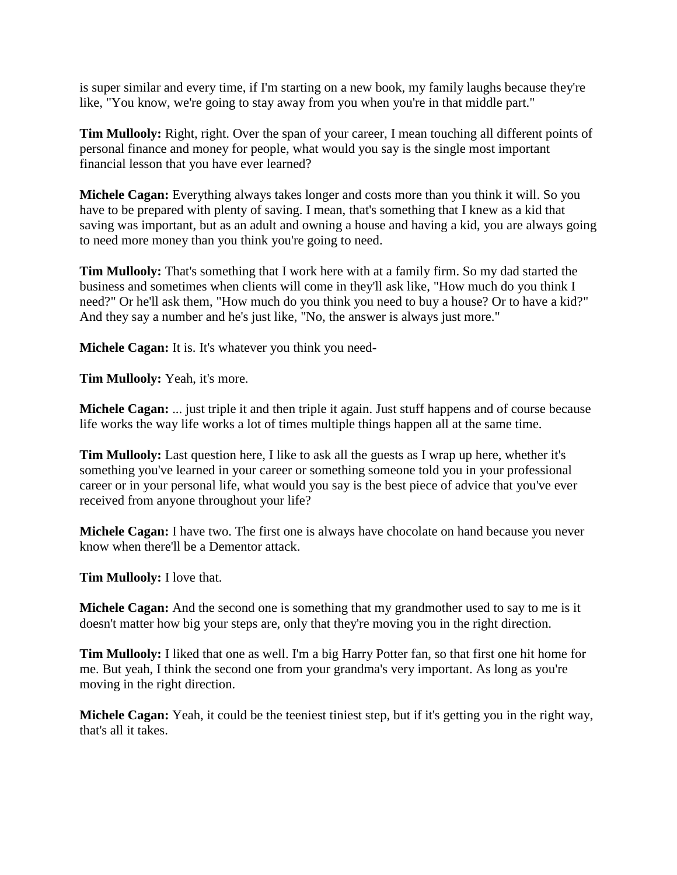is super similar and every time, if I'm starting on a new book, my family laughs because they're like, "You know, we're going to stay away from you when you're in that middle part."

**Tim Mullooly:** Right, right. Over the span of your career, I mean touching all different points of personal finance and money for people, what would you say is the single most important financial lesson that you have ever learned?

**Michele Cagan:** Everything always takes longer and costs more than you think it will. So you have to be prepared with plenty of saving. I mean, that's something that I knew as a kid that saving was important, but as an adult and owning a house and having a kid, you are always going to need more money than you think you're going to need.

**Tim Mullooly:** That's something that I work here with at a family firm. So my dad started the business and sometimes when clients will come in they'll ask like, "How much do you think I need?" Or he'll ask them, "How much do you think you need to buy a house? Or to have a kid?" And they say a number and he's just like, "No, the answer is always just more."

**Michele Cagan:** It is. It's whatever you think you need-

**Tim Mullooly:** Yeah, it's more.

**Michele Cagan:** ... just triple it and then triple it again. Just stuff happens and of course because life works the way life works a lot of times multiple things happen all at the same time.

**Tim Mullooly:** Last question here, I like to ask all the guests as I wrap up here, whether it's something you've learned in your career or something someone told you in your professional career or in your personal life, what would you say is the best piece of advice that you've ever received from anyone throughout your life?

**Michele Cagan:** I have two. The first one is always have chocolate on hand because you never know when there'll be a Dementor attack.

**Tim Mullooly:** I love that.

**Michele Cagan:** And the second one is something that my grandmother used to say to me is it doesn't matter how big your steps are, only that they're moving you in the right direction.

**Tim Mullooly:** I liked that one as well. I'm a big Harry Potter fan, so that first one hit home for me. But yeah, I think the second one from your grandma's very important. As long as you're moving in the right direction.

**Michele Cagan:** Yeah, it could be the teeniest tiniest step, but if it's getting you in the right way, that's all it takes.